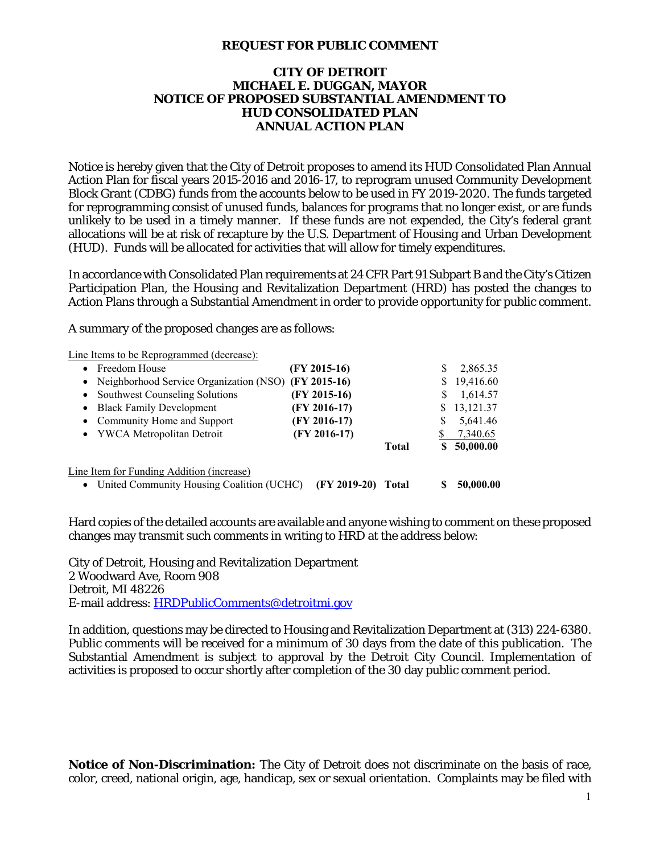## **REQUEST FOR PUBLIC COMMENT**

## **CITY OF DETROIT MICHAEL E. DUGGAN, MAYOR NOTICE OF PROPOSED SUBSTANTIAL AMENDMENT TO HUD CONSOLIDATED PLAN ANNUAL ACTION PLAN**

Notice is hereby given that the City of Detroit proposes to amend its HUD Consolidated Plan Annual Action Plan for fiscal years 2015-2016 and 2016-17, to reprogram unused Community Development Block Grant (CDBG) funds from the accounts below to be used in FY 2019-2020. The funds targeted for reprogramming consist of unused funds, balances for programs that no longer exist, or are funds unlikely to be used in a timely manner. If these funds are not expended, the City's federal grant allocations will be at risk of recapture by the U.S. Department of Housing and Urban Development (HUD). Funds will be allocated for activities that will allow for timely expenditures.

In accordance with Consolidated Plan requirements at 24 CFR Part 91 Subpart B and the City's Citizen Participation Plan, the Housing and Revitalization Department (HRD) has posted the changes to Action Plans through a Substantial Amendment in order to provide opportunity for public comment.

A summary of the proposed changes are as follows:

Line Items to be Reprogrammed (decrease):

|                                           | • Freedom House                                        | (FY 2015-16)   |              | S | 2,865.35  |
|-------------------------------------------|--------------------------------------------------------|----------------|--------------|---|-----------|
|                                           | • Neighborhood Service Organization (NSO) (FY 2015-16) |                |              | S | 19,416.60 |
|                                           | • Southwest Counseling Solutions                       | $(FY 2015-16)$ |              | S | 1,614.57  |
|                                           | • Black Family Development                             | $(FY 2016-17)$ |              | S | 13,121.37 |
|                                           | • Community Home and Support                           | $(FY 2016-17)$ |              | S | 5,641.46  |
|                                           | • YWCA Metropolitan Detroit                            | $(FY 2016-17)$ |              |   | 7,340.65  |
|                                           |                                                        |                | <b>Total</b> | S | 50,000.00 |
| Line Item for Funding Addition (increase) |                                                        |                |              |   |           |
|                                           | • United Community Housing Coalition (UCHC)            | $(FY 2019-20)$ | Total        |   | 50,000.00 |

Hard copies of the detailed accounts are available and anyone wishing to comment on these proposed changes may transmit such comments in writing to HRD at the address below:

City of Detroit, Housing and Revitalization Department 2 Woodward Ave, Room 908 Detroit, MI 48226 E-mail address: HRDPublicComments@detroitmi.gov

In addition, questions may be directed to Housing and Revitalization Department at (313) 224-6380. Public comments will be received for a minimum of 30 days from the date of this publication. The Substantial Amendment is subject to approval by the Detroit City Council. Implementation of activities is proposed to occur shortly after completion of the 30 day public comment period.

**Notice of Non-Discrimination:** The City of Detroit does not discriminate on the basis of race, color, creed, national origin, age, handicap, sex or sexual orientation. Complaints may be filed with